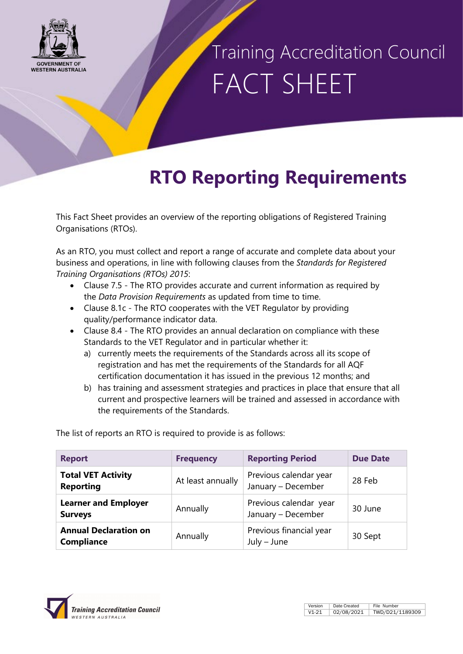

## Training Accreditation Council FACT SHEET

### **RTO Reporting Requirements**

This Fact Sheet provides an overview of the reporting obligations of Registered Training Organisations (RTOs).

As an RTO, you must collect and report a range of accurate and complete data about your business and operations, in line with following clauses from the *Standards for Registered Training Organisations (RTOs) 2015*:

- Clause 7.5 The RTO provides accurate and current information as required by the *Data Provision Requirements* as updated from time to time.
- Clause 8.1c The RTO cooperates with the VET Regulator by providing quality/performance indicator data.
- Clause 8.4 The RTO provides an annual declaration on compliance with these Standards to the VET Regulator and in particular whether it:
	- a) currently meets the requirements of the Standards across all its scope of registration and has met the requirements of the Standards for all AQF certification documentation it has issued in the previous 12 months; and
	- b) has training and assessment strategies and practices in place that ensure that all current and prospective learners will be trained and assessed in accordance with the requirements of the Standards.

The list of reports an RTO is required to provide is as follows:

| <b>Report</b>                                     | <b>Frequency</b>  | <b>Reporting Period</b>                      | <b>Due Date</b> |
|---------------------------------------------------|-------------------|----------------------------------------------|-----------------|
| <b>Total VET Activity</b><br><b>Reporting</b>     | At least annually | Previous calendar year<br>January - December | 28 Feb          |
| <b>Learner and Employer</b><br><b>Surveys</b>     | Annually          | Previous calendar year<br>January - December | 30 June         |
| <b>Annual Declaration on</b><br><b>Compliance</b> | Annually          | Previous financial year<br>$July - June$     | 30 Sept         |

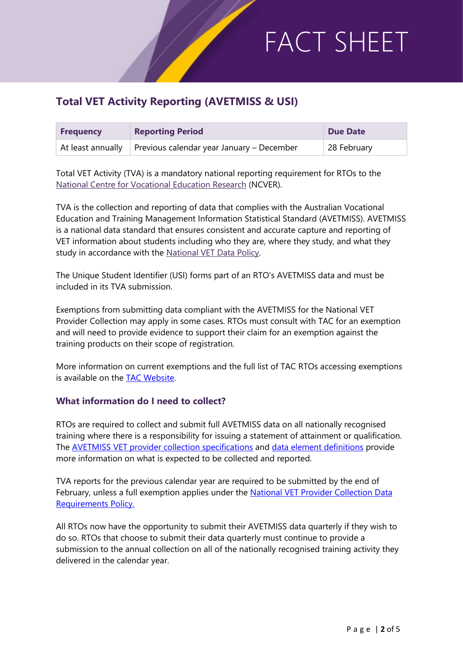### **Total VET Activity Reporting (AVETMISS & USI)**

| <b>Frequency</b> | <b>Reporting Period</b>                                                 | Due Date    |
|------------------|-------------------------------------------------------------------------|-------------|
|                  | At least annually $\parallel$ Previous calendar year January – December | 28 February |

Total VET Activity (TVA) is a mandatory national reporting requirement for RTOs to th[e](https://www.ncver.edu.au/) [National Centre for Vocational Education Research](https://www.ncver.edu.au/) (NCVER).

TVA is the collection and reporting of data that complies with the Australian Vocational Education and Training Management Information Statistical Standard (AVETMISS). AVETMISS is a national data standard that ensures consistent and accurate capture and reporting of VET information about students including who they are, where they study, and what they study in accordance with the [National VET Data Policy.](https://www.dese.gov.au/national-vet-data/national-vet-data-policy)

The Unique Student Identifier (USI) forms part of an RTO's AVETMISS data and must be included in its TVA submission.

Exemptions from submitting data compliant with the AVETMISS for the National VET Provider Collection may apply in some cases. RTOs must consult with TAC for an exemption and will need to provide evidence to support their claim for an exemption against the training products on their scope of registration.

More information on current exemptions and the full list of TAC RTOs accessing exemptions is available on the [TAC Website.](https://www.tac.wa.gov.au/registration/Reporting_requirements/Total_VET_activity/Pages/default.aspx)

### **What information do I need to collect?**

RTOs are required to collect and submit full AVETMISS data on all nationally recognised training where there is a responsibility for issuing a statement of attainment or qualification. The AVETMISS [VET provider collection specifications](https://www.ncver.edu.au/rto-hub/statistical-standard-software/avetmiss-vet-provider-collection-specifications-release-8.0) and [data element definitions](https://www.ncver.edu.au/rto-hub/statistical-standard-software/avetmiss-data-element-definitions-edition-2.3) provide more information on what is expected to be collected and reported.

TVA reports for the previous calendar year are required to be submitted by the end of February, unless a full exemption applies under the [National VET Provider Collection Data](https://www.dese.gov.au/national-vet-data/national-vet-data-policy)  [Requirements Policy.](https://www.dese.gov.au/national-vet-data/national-vet-data-policy)

All RTOs now have the opportunity to submit their AVETMISS data quarterly if they wish to do so. RTOs that choose to submit their data quarterly must continue to provide a submission to the annual collection on all of the nationally recognised training activity they delivered in the calendar year.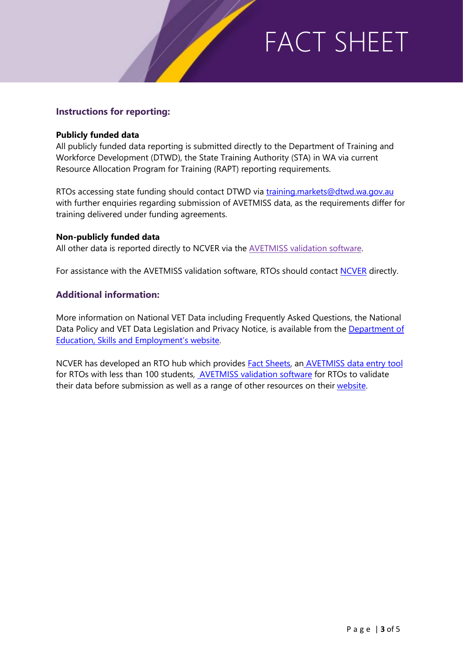### **Instructions for reporting:**

#### **Publicly funded data**

All publicly funded data reporting is submitted directly to the Department of Training and Workforce Development (DTWD), the State Training Authority (STA) in WA via current Resource Allocation Program for Training (RAPT) reporting requirements.

RTOs accessing state funding should contact DTWD via [training.markets@dtwd.wa.gov.au](mailto:training.markets@dtwd.wa.gov.au) with further enquiries regarding submission of AVETMISS data, as the requirements differ for training delivered under funding agreements.

#### **Non-publicly funded data**

All other data is reported directly to NCVER via the [AVETMISS validation software.](https://avs.ncver.edu.au/avs/)

For assistance with the AVETMISS validation software, RTOs should contact **NCVER** directly.

### **Additional information:**

More information on National VET Data including Frequently Asked Questions, the National Data Policy and VET Data Legislation and Privacy Notice, is available from the Department of [Education, Skills and Employment's website.](https://www.dese.gov.au/national-vet-data/national-vet-data-policy)

NCVER has developed an RTO hub which provides [Fact Sheets,](https://www.ncver.edu.au/rto-hub/rto-fact-sheets) an [AVETMISS data entry tool](https://www.ncver.edu.au/rto-hub/data-entry-tool) for RTOs with less than 100 students, [AVETMISS validation software](https://avs.ncver.edu.au/avs/) for RTOs to validate their data before submission as well as a range of other resources on their [website.](https://www.ncver.edu.au/rto-hub/statistical-standard-software/avetmiss-data-element-definitions-edition-2.3)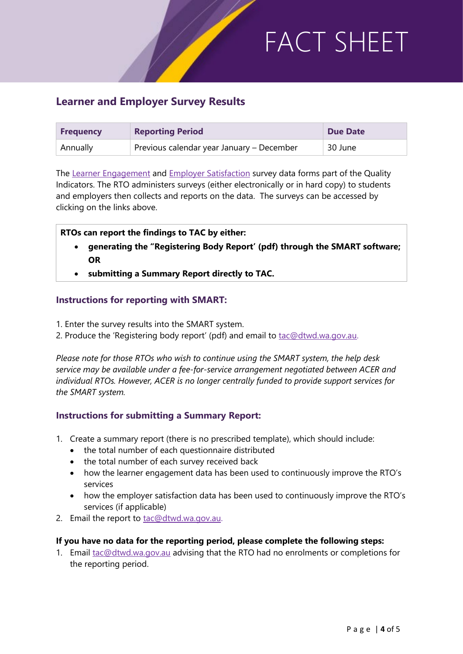### **Learner and Employer Survey Results**

| <b>Frequency</b> | <b>Reporting Period</b>                   | <b>Due Date</b> |
|------------------|-------------------------------------------|-----------------|
| Annually         | Previous calendar year January - December | 30 June         |

The [Learner Engagement](https://www.acer.org/files/AQTF_LQ1-Survey-Master_000.pdf) and [Employer Satisfaction](https://www.acer.org/files/AQTF_EQ1-Survey-Master_000.pdf) survey data forms part of the Quality Indicators. The RTO administers surveys (either electronically or in hard copy) to students and employers then collects and reports on the data. The surveys can be accessed by clicking on the links above.

#### **RTOs can report the findings to TAC by either:**

- **generating the "Registering Body Report' (pdf) through the SMART software; OR**
- **submitting a Summary Report directly to TAC.**

#### **Instructions for reporting with SMART:**

- 1. Enter the survey results into the SMART system.
- 2. Produce the 'Registering body report' (pdf) and email to [tac@dtwd.wa.gov.au.](mailto:tac@dtwd.wa.gov.au)

*Please note for those RTOs who wish to continue using the SMART system, the help desk service may be available under a fee-for-service arrangement negotiated between ACER and individual RTOs. However, ACER is no longer centrally funded to provide support services for the SMART system.*

### **Instructions for submitting a Summary Report:**

- 1. Create a summary report (there is no prescribed template), which should include:
	- the total number of each questionnaire distributed
	- the total number of each survey received back
	- how the learner engagement data has been used to continuously improve the RTO's services
	- how the employer satisfaction data has been used to continuously improve the RTO's services (if applicable)
- 2. Email the report to [tac@dtwd.wa.gov.au.](mailto:tac@dtwd.wa.gov.au)

#### **If you have no data for the reporting period, please complete the following steps:**

1. Email [tac@dtwd.wa.gov.au](mailto:tac@dtwd.wa.gov.au) advising that the RTO had no enrolments or completions for the reporting period.